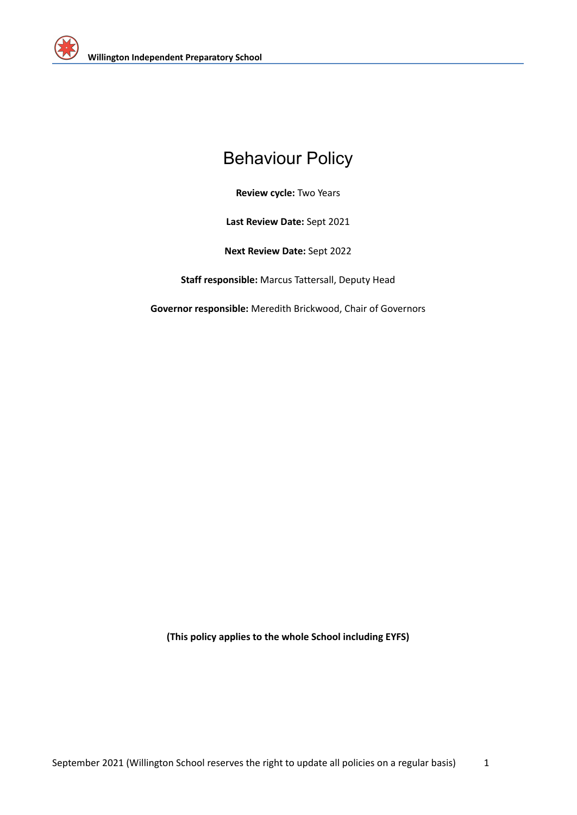

# Behaviour Policy

**Review cycle:** Two Years

**Last Review Date:** Sept 2021

**Next Review Date:** Sept 2022

**Staff responsible:** Marcus Tattersall, Deputy Head

**Governor responsible:** Meredith Brickwood, Chair of Governors

**(This policy applies to the whole School including EYFS)**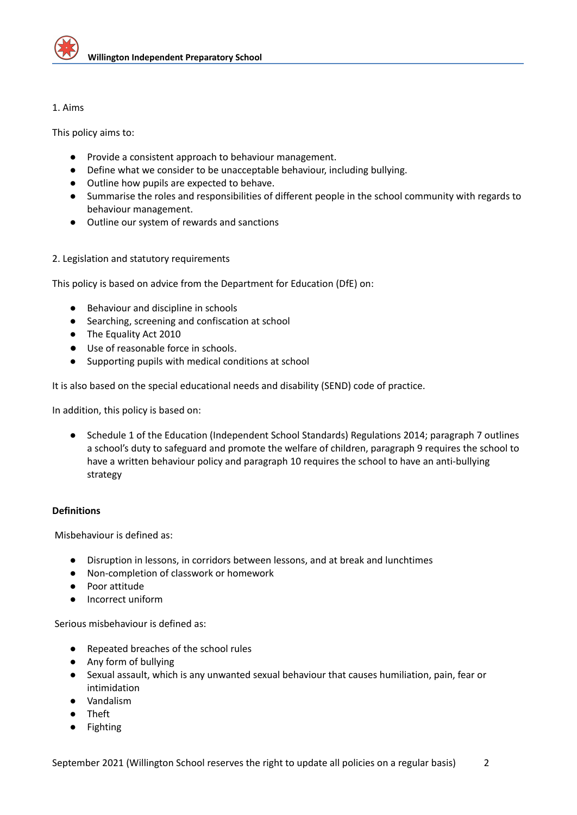

## 1. Aims

This policy aims to:

- Provide a consistent approach to behaviour management.
- Define what we consider to be unacceptable behaviour, including bullying.
- Outline how pupils are expected to behave.
- Summarise the roles and responsibilities of different people in the school community with regards to behaviour management.
- Outline our system of rewards and sanctions
- 2. Legislation and statutory requirements

This policy is based on advice from the Department for Education (DfE) on:

- [Behaviour](https://www.gov.uk/government/publications/behaviour-and-discipline-in-schools) and discipline in schools
- Searching, screening and [confiscation](https://www.gov.uk/government/publications/searching-screening-and-confiscation) at school
- The [Equality](https://www.gov.uk/government/publications/equality-act-2010-advice-for-schools) Act 2010
- Use of [reasonable](https://www.gov.uk/government/publications/use-of-reasonable-force-in-schools) force in schools.
- [Supporting](https://www.gov.uk/government/publications/supporting-pupils-at-school-with-medical-conditions--3) pupils with medical conditions at school

It is also based on the special [educational](https://www.gov.uk/government/publications/send-code-of-practice-0-to-25) needs and disability (SEND) code of practice.

In addition, this policy is based on:

● Schedule 1 of the Education [\(Independent](http://www.legislation.gov.uk/uksi/2014/3283/schedule/made) School Standards) Regulations 2014; paragraph 7 outlines a school's duty to safeguard and promote the welfare of children, paragraph 9 requires the school to have a written behaviour policy and paragraph 10 requires the school to have an anti-bullying strategy

## **Definitions**

Misbehaviour is defined as:

- Disruption in lessons, in corridors between lessons, and at break and lunchtimes
- Non-completion of classwork or homework
- Poor attitude
- Incorrect uniform

Serious misbehaviour is defined as:

- Repeated breaches of the school rules
- Any form of bullying
- Sexual assault, which is any unwanted sexual behaviour that causes humiliation, pain, fear or intimidation
- Vandalism
- Theft
- Fighting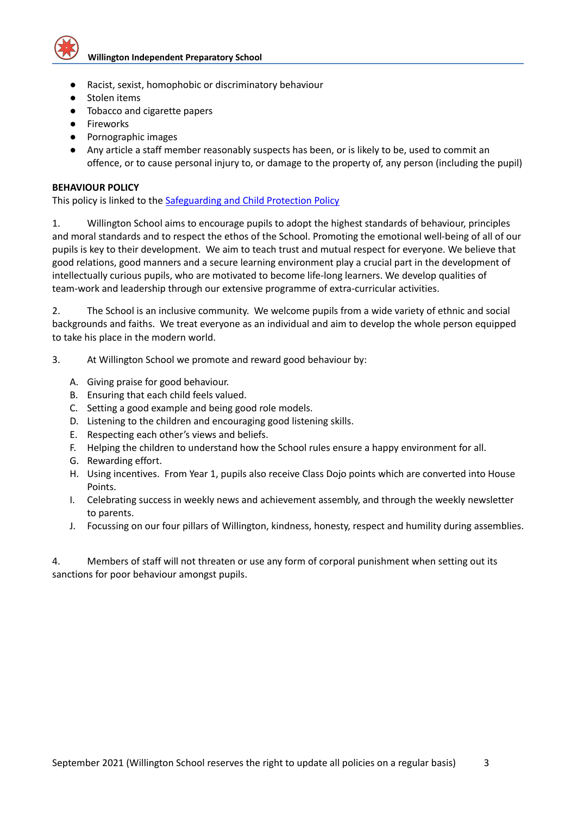

- Racist, sexist, homophobic or discriminatory behaviour
- Stolen items
- Tobacco and cigarette papers
- Fireworks
- Pornographic images
- Any article a staff member reasonably suspects has been, or is likely to be, used to commit an offence, or to cause personal injury to, or damage to the property of, any person (including the pupil)

## **BEHAVIOUR POLICY**

This policy is linked to the [Safeguarding](https://docs.google.com/document/d/1tpFQ9pXGq1WU1K5h0y4TROnhijERwrAW/edit) and Child Protection Policy

1. Willington School aims to encourage pupils to adopt the highest standards of behaviour, principles and moral standards and to respect the ethos of the School. Promoting the emotional well-being of all of our pupils is key to their development. We aim to teach trust and mutual respect for everyone. We believe that good relations, good manners and a secure learning environment play a crucial part in the development of intellectually curious pupils, who are motivated to become life-long learners. We develop qualities of team-work and leadership through our extensive programme of extra-curricular activities.

2. The School is an inclusive community. We welcome pupils from a wide variety of ethnic and social backgrounds and faiths. We treat everyone as an individual and aim to develop the whole person equipped to take his place in the modern world.

- 3. At Willington School we promote and reward good behaviour by:
	- A. Giving praise for good behaviour.
	- B. Ensuring that each child feels valued.
	- C. Setting a good example and being good role models.
	- D. Listening to the children and encouraging good listening skills.
	- E. Respecting each other's views and beliefs.
	- F. Helping the children to understand how the School rules ensure a happy environment for all.
	- G. Rewarding effort.
	- H. Using incentives. From Year 1, pupils also receive Class Dojo points which are converted into House Points.
	- I. Celebrating success in weekly news and achievement assembly, and through the weekly newsletter to parents.
	- J. Focussing on our four pillars of Willington, kindness, honesty, respect and humility during assemblies.

4. Members of staff will not threaten or use any form of corporal punishment when setting out its sanctions for poor behaviour amongst pupils.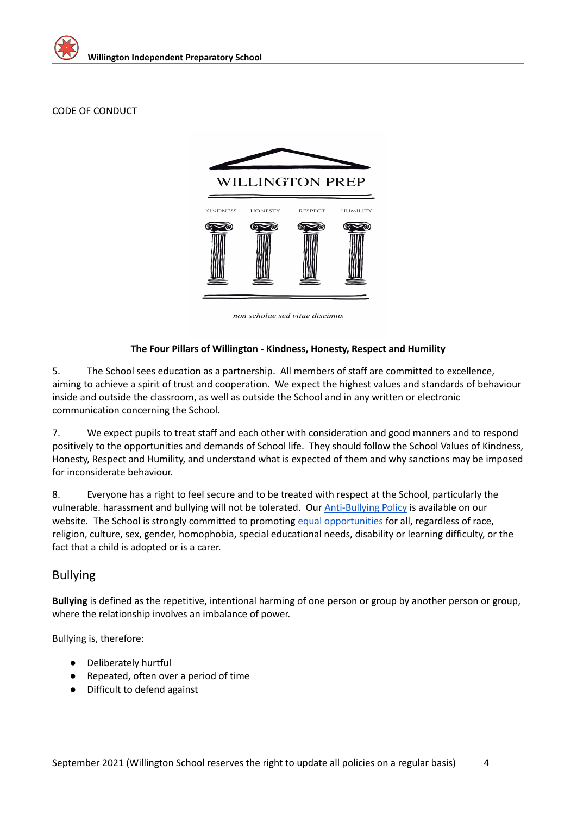## CODE OF CONDUCT



non scholae sed vitae discimus

## **The Four Pillars of Willington - Kindness, Honesty, Respect and Humility**

5. The School sees education as a partnership. All members of staff are committed to excellence, aiming to achieve a spirit of trust and cooperation. We expect the highest values and standards of behaviour inside and outside the classroom, as well as outside the School and in any written or electronic communication concerning the School.

7. We expect pupils to treat staff and each other with consideration and good manners and to respond positively to the opportunities and demands of School life. They should follow the School Values of Kindness, Honesty, Respect and Humility, and understand what is expected of them and why sanctions may be imposed for inconsiderate behaviour.

8. Everyone has a right to feel secure and to be treated with respect at the School, particularly the vulnerable. harassment and bullying will not be tolerated. Our [Anti-Bullying](https://docs.google.com/document/d/1mbvAyzC6w1uKK2-IncMccDOAsCT6d-Jo/edit) Policy is available on our website. The School is strongly committed to promoting equal [opportunities](https://docs.google.com/document/d/1B2n9eLJ9YGb7znPz6yDsG3dCn0IRSj7u/edit) for all, regardless of race, religion, culture, sex, gender, homophobia, special educational needs, disability or learning difficulty, or the fact that a child is adopted or is a carer.

## Bullying

**Bullying** is defined as the repetitive, intentional harming of one person or group by another person or group, where the relationship involves an imbalance of power.

Bullying is, therefore:

- Deliberately hurtful
- Repeated, often over a period of time
- Difficult to defend against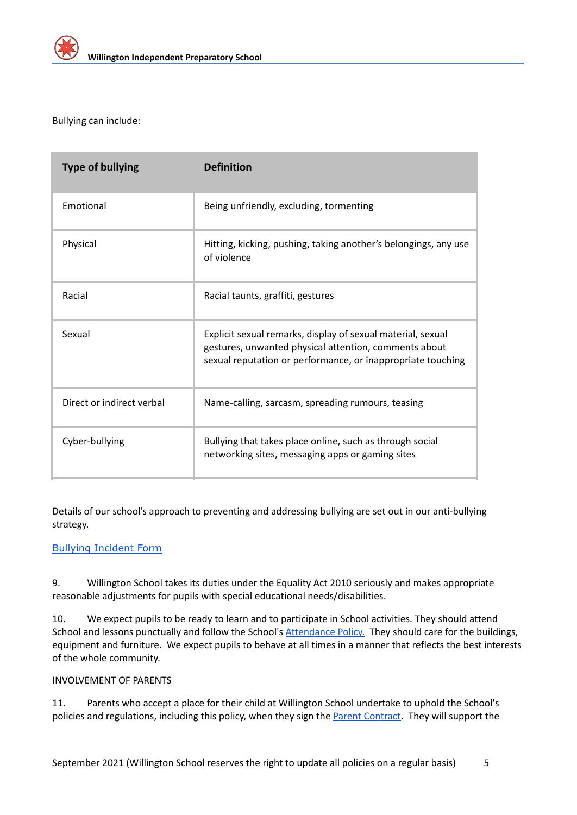

Bullying can include:

| <b>Type of bullying</b>   | <b>Definition</b>                                                                                                                                                                   |
|---------------------------|-------------------------------------------------------------------------------------------------------------------------------------------------------------------------------------|
| Emotional                 | Being unfriendly, excluding, tormenting                                                                                                                                             |
| Physical                  | Hitting, kicking, pushing, taking another's belongings, any use<br>of violence                                                                                                      |
| Racial                    | Racial taunts, graffiti, gestures                                                                                                                                                   |
| Sexual                    | Explicit sexual remarks, display of sexual material, sexual<br>gestures, unwanted physical attention, comments about<br>sexual reputation or performance, or inappropriate touching |
| Direct or indirect verbal | Name-calling, sarcasm, spreading rumours, teasing                                                                                                                                   |
| Cyber-bullying            | Bullying that takes place online, such as through social<br>networking sites, messaging apps or gaming sites                                                                        |

Details of our school's approach to preventing and addressing bullying are set out in our anti-bullying strategy.

## Bullying [Incident](https://docs.google.com/document/d/1MJl0JigWFrStasuJiuMJcpeaeVXlrRZL/edit) Form

9. Willington School takes its duties under the Equality Act 2010 seriously and makes appropriate reasonable adjustments for pupils with special educational needs/disabilities.

10. We expect pupils to be ready to learn and to participate in School activities. They should attend School and lessons punctually and follow the School's [Attendance](https://docs.google.com/document/d/1F_nA--df3vXiKJximFodaDUB6frgeO47/edit) Policy. They should care for the buildings, equipment and furniture. We expect pupils to behave at all times in a manner that reflects the best interests of the whole community.

## INVOLVEMENT OF PARENTS

11. Parents who accept a place for their child at Willington School undertake to uphold the School's policies and regulations, including this policy, when they sign the Parent [Contract](https://docs.google.com/document/d/1Yc16MQRhX1_99rTQa0b8Mripufr9uYUA/edit). They will support the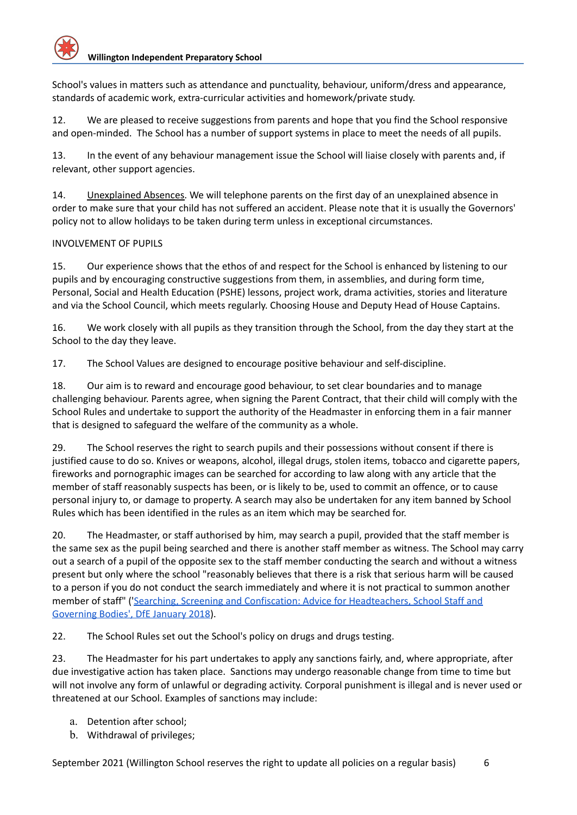School's values in matters such as attendance and punctuality, behaviour, uniform/dress and appearance, standards of academic work, extra-curricular activities and homework/private study.

12. We are pleased to receive suggestions from parents and hope that you find the School responsive and open-minded. The School has a number of support systems in place to meet the needs of all pupils.

13. In the event of any behaviour management issue the School will liaise closely with parents and, if relevant, other support agencies.

14. Unexplained Absences. We will telephone parents on the first day of an unexplained absence in order to make sure that your child has not suffered an accident. Please note that it is usually the Governors' policy not to allow holidays to be taken during term unless in exceptional circumstances.

## INVOLVEMENT OF PUPILS

15. Our experience shows that the ethos of and respect for the School is enhanced by listening to our pupils and by encouraging constructive suggestions from them, in assemblies, and during form time, Personal, Social and Health Education (PSHE) lessons, project work, drama activities, stories and literature and via the School Council, which meets regularly. Choosing House and Deputy Head of House Captains.

16. We work closely with all pupils as they transition through the School, from the day they start at the School to the day they leave.

17. The School Values are designed to encourage positive behaviour and self-discipline.

18. Our aim is to reward and encourage good behaviour, to set clear boundaries and to manage challenging behaviour. Parents agree, when signing the Parent Contract, that their child will comply with the School Rules and undertake to support the authority of the Headmaster in enforcing them in a fair manner that is designed to safeguard the welfare of the community as a whole.

29. The School reserves the right to search pupils and their possessions without consent if there is justified cause to do so. Knives or weapons, alcohol, illegal drugs, stolen items, tobacco and cigarette papers, fireworks and pornographic images can be searched for according to law along with any article that the member of staff reasonably suspects has been, or is likely to be, used to commit an offence, or to cause personal injury to, or damage to property. A search may also be undertaken for any item banned by School Rules which has been identified in the rules as an item which may be searched for.

20. The Headmaster, or staff authorised by him, may search a pupil, provided that the staff member is the same sex as the pupil being searched and there is another staff member as witness. The School may carry out a search of a pupil of the opposite sex to the staff member conducting the search and without a witness present but only where the school "reasonably believes that there is a risk that serious harm will be caused to a person if you do not conduct the search immediately and where it is not practical to summon another member of staff" ('Searching, Screening and Confiscation: Advice for [Headteachers,](https://assets.publishing.service.gov.uk/government/uploads/system/uploads/attachment_data/file/674416/Searching_screening_and_confiscation.pdf) School Staff and [Governing](https://assets.publishing.service.gov.uk/government/uploads/system/uploads/attachment_data/file/674416/Searching_screening_and_confiscation.pdf) Bodies', DfE January 2018).

22. The School Rules set out the School's policy on drugs and drugs testing.

23. The Headmaster for his part undertakes to apply any sanctions fairly, and, where appropriate, after due investigative action has taken place. Sanctions may undergo reasonable change from time to time but will not involve any form of unlawful or degrading activity. Corporal punishment is illegal and is never used or threatened at our School. Examples of sanctions may include:

- a. Detention after school;
- b. Withdrawal of privileges;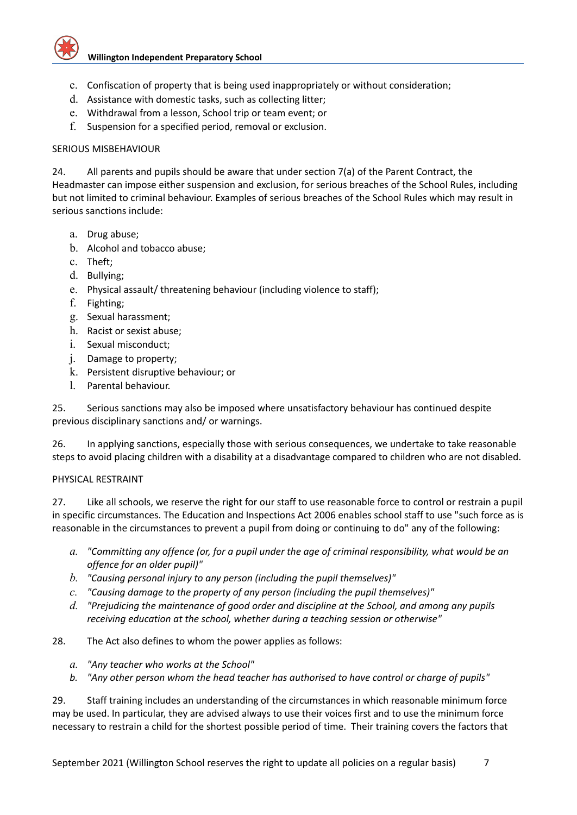

- c. Confiscation of property that is being used inappropriately or without consideration;
- d. Assistance with domestic tasks, such as collecting litter;
- e. Withdrawal from a lesson, School trip or team event; or
- f. Suspension for a specified period, removal or exclusion.

## SERIOUS MISBEHAVIOUR

24. All parents and pupils should be aware that under section 7(a) of the Parent Contract, the Headmaster can impose either suspension and exclusion, for serious breaches of the School Rules, including but not limited to criminal behaviour. Examples of serious breaches of the School Rules which may result in serious sanctions include:

- a. Drug abuse;
- b. Alcohol and tobacco abuse;
- c. Theft;
- d. Bullying;
- e. Physical assault/ threatening behaviour (including violence to staff);
- f. Fighting;
- g. Sexual harassment;
- h. Racist or sexist abuse;
- i. Sexual misconduct;
- j. Damage to property;
- k. Persistent disruptive behaviour; or
- l. Parental behaviour.

25. Serious sanctions may also be imposed where unsatisfactory behaviour has continued despite previous disciplinary sanctions and/ or warnings.

26. In applying sanctions, especially those with serious consequences, we undertake to take reasonable steps to avoid placing children with a disability at a disadvantage compared to children who are not disabled.

## PHYSICAL RESTRAINT

27. Like all schools, we reserve the right for our staff to use reasonable force to control or restrain a pupil in specific circumstances. The Education and Inspections Act 2006 enables school staff to use "such force as is reasonable in the circumstances to prevent a pupil from doing or continuing to do" any of the following:

- a. "Committing any offence (or, for a pupil under the age of criminal responsibility, what would be an *offence for an older pupil)"*
- *b. "Causing personal injury to any person (including the pupil themselves)"*
- *c. "Causing damage to the property of any person (including the pupil themselves)"*
- *d. "Prejudicing the maintenance of good order and discipline at the School, and among any pupils receiving education at the school, whether during a teaching session or otherwise"*

## 28. The Act also defines to whom the power applies as follows:

- *a. "Any teacher who works at the School"*
- *b. "Any other person whom the head teacher has authorised to have control or charge of pupils"*

29. Staff training includes an understanding of the circumstances in which reasonable minimum force may be used. In particular, they are advised always to use their voices first and to use the minimum force necessary to restrain a child for the shortest possible period of time. Their training covers the factors that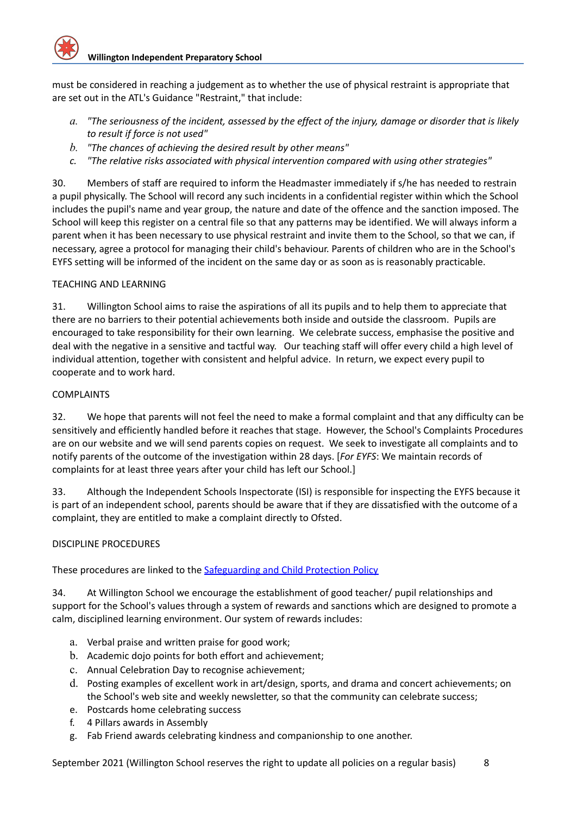must be considered in reaching a judgement as to whether the use of physical restraint is appropriate that are set out in the ATL's Guidance "Restraint," that include:

- a. "The seriousness of the incident, assessed by the effect of the injury, damage or disorder that is likely *to result if force is not used"*
- *b. "The chances of achieving the desired result by other means"*
- *c. "The relative risks associated with physical intervention compared with using other strategies"*

30. Members of staff are required to inform the Headmaster immediately if s/he has needed to restrain a pupil physically. The School will record any such incidents in a confidential register within which the School includes the pupil's name and year group, the nature and date of the offence and the sanction imposed. The School will keep this register on a central file so that any patterns may be identified. We will always inform a parent when it has been necessary to use physical restraint and invite them to the School, so that we can, if necessary, agree a protocol for managing their child's behaviour. Parents of children who are in the School's EYFS setting will be informed of the incident on the same day or as soon as is reasonably practicable.

## TEACHING AND LEARNING

31. Willington School aims to raise the aspirations of all its pupils and to help them to appreciate that there are no barriers to their potential achievements both inside and outside the classroom. Pupils are encouraged to take responsibility for their own learning. We celebrate success, emphasise the positive and deal with the negative in a sensitive and tactful way. Our teaching staff will offer every child a high level of individual attention, together with consistent and helpful advice. In return, we expect every pupil to cooperate and to work hard.

## COMPLAINTS

32. We hope that parents will not feel the need to make a formal complaint and that any difficulty can be sensitively and efficiently handled before it reaches that stage. However, the School's Complaints Procedures are on our website and we will send parents copies on request. We seek to investigate all complaints and to notify parents of the outcome of the investigation within 28 days. [*For EYFS*: We maintain records of complaints for at least three years after your child has left our School.]

33. Although the Independent Schools Inspectorate (ISI) is responsible for inspecting the EYFS because it is part of an independent school, parents should be aware that if they are dissatisfied with the outcome of a complaint, they are entitled to make a complaint directly to Ofsted.

## DISCIPLINE PROCEDURES

These procedures are linked to the [Safeguarding](https://docs.google.com/document/d/1tpFQ9pXGq1WU1K5h0y4TROnhijERwrAW/edit) and Child Protection Policy

34. At Willington School we encourage the establishment of good teacher/ pupil relationships and support for the School's values through a system of rewards and sanctions which are designed to promote a calm, disciplined learning environment. Our system of rewards includes:

- a. Verbal praise and written praise for good work;
- b. Academic dojo points for both effort and achievement;
- c. Annual Celebration Day to recognise achievement;
- d. Posting examples of excellent work in art/design, sports, and drama and concert achievements; on the School's web site and weekly newsletter, so that the community can celebrate success;
- e. Postcards home celebrating success
- f. 4 Pillars awards in Assembly
- g. Fab Friend awards celebrating kindness and companionship to one another.

September 2021 (Willington School reserves the right to update all policies on a regular basis) 8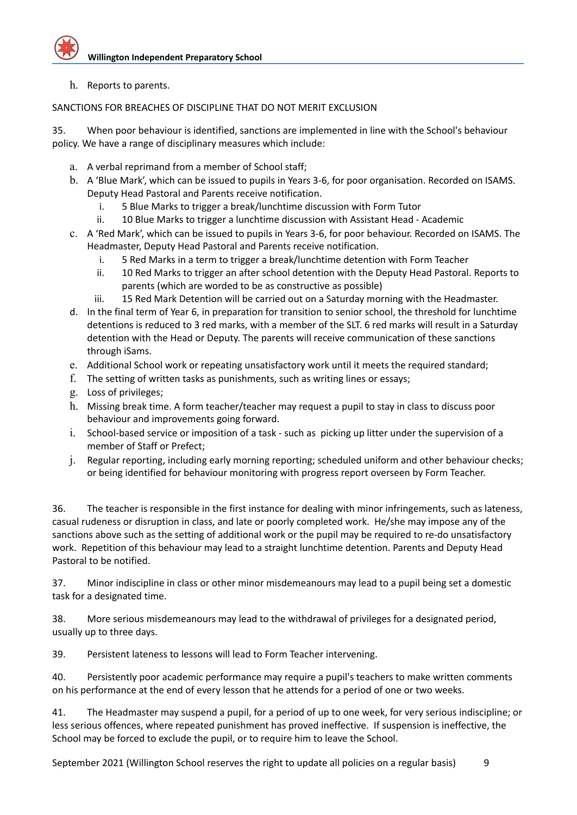h. Reports to parents.

## SANCTIONS FOR BREACHES OF DISCIPLINE THAT DO NOT MERIT EXCLUSION

35. When poor behaviour is identified, sanctions are implemented in line with the School's behaviour policy. We have a range of disciplinary measures which include:

- a. A verbal reprimand from a member of School staff;
- b. A 'Blue Mark', which can be issued to pupils in Years 3-6, for poor organisation. Recorded on ISAMS. Deputy Head Pastoral and Parents receive notification.
	- i. 5 Blue Marks to trigger a break/lunchtime discussion with Form Tutor
	- ii. 10 Blue Marks to trigger a lunchtime discussion with Assistant Head Academic
- c. A 'Red Mark', which can be issued to pupils in Years 3-6, for poor behaviour. Recorded on ISAMS. The Headmaster, Deputy Head Pastoral and Parents receive notification.
	- i. 5 Red Marks in a term to trigger a break/lunchtime detention with Form Teacher
	- ii. 10 Red Marks to trigger an after school detention with the Deputy Head Pastoral. Reports to parents (which are worded to be as constructive as possible)
	- iii. 15 Red Mark Detention will be carried out on a Saturday morning with the Headmaster.
- d. In the final term of Year 6, in preparation for transition to senior school, the threshold for lunchtime detentions is reduced to 3 red marks, with a member of the SLT. 6 red marks will result in a Saturday detention with the Head or Deputy. The parents will receive communication of these sanctions through iSams.
- e. Additional School work or repeating unsatisfactory work until it meets the required standard;
- f. The setting of written tasks as punishments, such as writing lines or essays;
- g. Loss of privileges;
- h. Missing break time. A form teacher/teacher may request a pupil to stay in class to discuss poor behaviour and improvements going forward.
- i. School-based service or imposition of a task such as picking up litter under the supervision of a member of Staff or Prefect;
- j. Regular reporting, including early morning reporting; scheduled uniform and other behaviour checks; or being identified for behaviour monitoring with progress report overseen by Form Teacher.

36. The teacher is responsible in the first instance for dealing with minor infringements, such as lateness, casual rudeness or disruption in class, and late or poorly completed work. He/she may impose any of the sanctions above such as the setting of additional work or the pupil may be required to re-do unsatisfactory work. Repetition of this behaviour may lead to a straight lunchtime detention. Parents and Deputy Head Pastoral to be notified.

37. Minor indiscipline in class or other minor misdemeanours may lead to a pupil being set a domestic task for a designated time.

38. More serious misdemeanours may lead to the withdrawal of privileges for a designated period, usually up to three days.

39. Persistent lateness to lessons will lead to Form Teacher intervening.

40. Persistently poor academic performance may require a pupil's teachers to make written comments on his performance at the end of every lesson that he attends for a period of one or two weeks.

41. The Headmaster may suspend a pupil, for a period of up to one week, for very serious indiscipline; or less serious offences, where repeated punishment has proved ineffective. If suspension is ineffective, the School may be forced to exclude the pupil, or to require him to leave the School.

September 2021 (Willington School reserves the right to update all policies on a regular basis) 9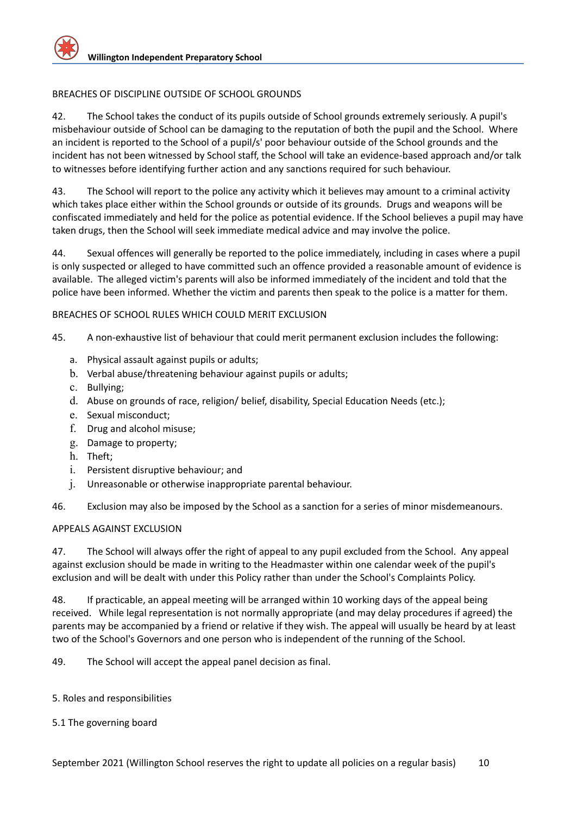## BREACHES OF DISCIPLINE OUTSIDE OF SCHOOL GROUNDS

42. The School takes the conduct of its pupils outside of School grounds extremely seriously. A pupil's misbehaviour outside of School can be damaging to the reputation of both the pupil and the School. Where an incident is reported to the School of a pupil/s' poor behaviour outside of the School grounds and the incident has not been witnessed by School staff, the School will take an evidence-based approach and/or talk to witnesses before identifying further action and any sanctions required for such behaviour.

43. The School will report to the police any activity which it believes may amount to a criminal activity which takes place either within the School grounds or outside of its grounds. Drugs and weapons will be confiscated immediately and held for the police as potential evidence. If the School believes a pupil may have taken drugs, then the School will seek immediate medical advice and may involve the police.

44. Sexual offences will generally be reported to the police immediately, including in cases where a pupil is only suspected or alleged to have committed such an offence provided a reasonable amount of evidence is available. The alleged victim's parents will also be informed immediately of the incident and told that the police have been informed. Whether the victim and parents then speak to the police is a matter for them.

## BREACHES OF SCHOOL RULES WHICH COULD MERIT EXCLUSION

45. A non-exhaustive list of behaviour that could merit permanent exclusion includes the following:

- a. Physical assault against pupils or adults;
- b. Verbal abuse/threatening behaviour against pupils or adults;
- c. Bullying;
- d. Abuse on grounds of race, religion/ belief, disability, Special Education Needs (etc.);
- e. Sexual misconduct;
- f. Drug and alcohol misuse;
- g. Damage to property;
- h. Theft;
- i. Persistent disruptive behaviour; and
- j. Unreasonable or otherwise inappropriate parental behaviour.
- 46. Exclusion may also be imposed by the School as a sanction for a series of minor misdemeanours.

## APPEALS AGAINST EXCLUSION

47. The School will always offer the right of appeal to any pupil excluded from the School. Any appeal against exclusion should be made in writing to the Headmaster within one calendar week of the pupil's exclusion and will be dealt with under this Policy rather than under the School's Complaints Policy.

48. If practicable, an appeal meeting will be arranged within 10 working days of the appeal being received. While legal representation is not normally appropriate (and may delay procedures if agreed) the parents may be accompanied by a friend or relative if they wish. The appeal will usually be heard by at least two of the School's Governors and one person who is independent of the running of the School.

49. The School will accept the appeal panel decision as final.

5. Roles and responsibilities

## 5.1 The governing board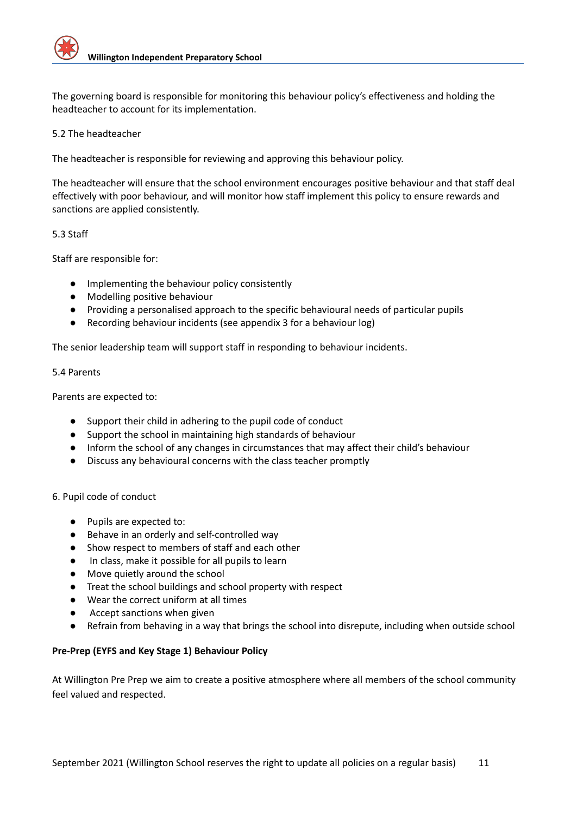The governing board is responsible for monitoring this behaviour policy's effectiveness and holding the headteacher to account for its implementation.

## 5.2 The headteacher

The headteacher is responsible for reviewing and approving this behaviour policy.

The headteacher will ensure that the school environment encourages positive behaviour and that staff deal effectively with poor behaviour, and will monitor how staff implement this policy to ensure rewards and sanctions are applied consistently.

## 5.3 Staff

Staff are responsible for:

- Implementing the behaviour policy consistently
- Modelling positive behaviour
- Providing a personalised approach to the specific behavioural needs of particular pupils
- Recording behaviour incidents (see appendix 3 for a behaviour log)

The senior leadership team will support staff in responding to behaviour incidents.

## 5.4 Parents

Parents are expected to:

- Support their child in adhering to the pupil code of conduct
- Support the school in maintaining high standards of behaviour
- Inform the school of any changes in circumstances that may affect their child's behaviour
- Discuss any behavioural concerns with the class teacher promptly

## 6. Pupil code of conduct

- Pupils are expected to:
- Behave in an orderly and self-controlled way
- Show respect to members of staff and each other
- In class, make it possible for all pupils to learn
- Move quietly around the school
- Treat the school buildings and school property with respect
- Wear the correct uniform at all times
- Accept sanctions when given
- Refrain from behaving in a way that brings the school into disrepute, including when outside school

## **Pre-Prep (EYFS and Key Stage 1) Behaviour Policy**

At Willington Pre Prep we aim to create a positive atmosphere where all members of the school community feel valued and respected.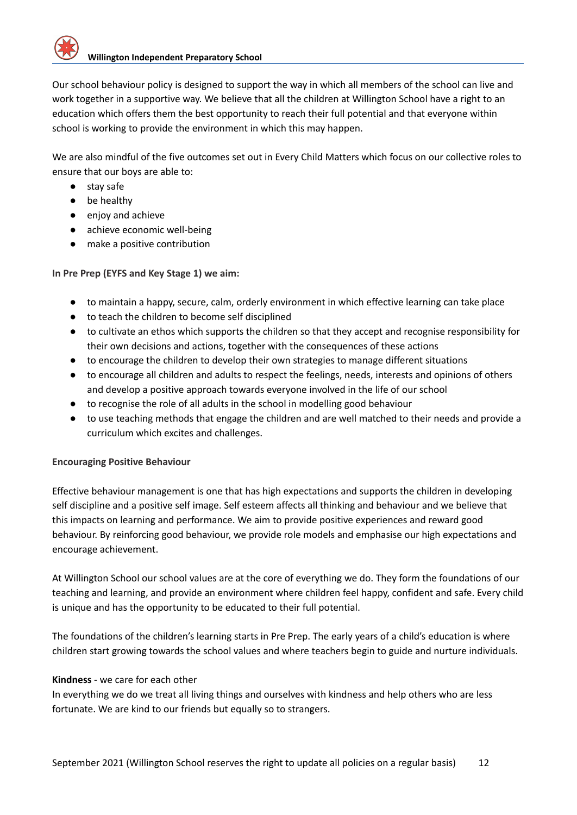

Our school behaviour policy is designed to support the way in which all members of the school can live and work together in a supportive way. We believe that all the children at Willington School have a right to an education which offers them the best opportunity to reach their full potential and that everyone within school is working to provide the environment in which this may happen.

We are also mindful of the five outcomes set out in Every Child Matters which focus on our collective roles to ensure that our boys are able to:

- stay safe
- be healthy
- enjoy and achieve
- achieve economic well-being
- make a positive contribution

**In Pre Prep (EYFS and Key Stage 1) we aim:**

- to maintain a happy, secure, calm, orderly environment in which effective learning can take place
- to teach the children to become self disciplined
- to cultivate an ethos which supports the children so that they accept and recognise responsibility for their own decisions and actions, together with the consequences of these actions
- to encourage the children to develop their own strategies to manage different situations
- to encourage all children and adults to respect the feelings, needs, interests and opinions of others and develop a positive approach towards everyone involved in the life of our school
- to recognise the role of all adults in the school in modelling good behaviour
- to use teaching methods that engage the children and are well matched to their needs and provide a curriculum which excites and challenges.

## **Encouraging Positive Behaviour**

Effective behaviour management is one that has high expectations and supports the children in developing self discipline and a positive self image. Self esteem affects all thinking and behaviour and we believe that this impacts on learning and performance. We aim to provide positive experiences and reward good behaviour. By reinforcing good behaviour, we provide role models and emphasise our high expectations and encourage achievement.

At Willington School our school values are at the core of everything we do. They form the foundations of our teaching and learning, and provide an environment where children feel happy, confident and safe. Every child is unique and has the opportunity to be educated to their full potential.

The foundations of the children's learning starts in Pre Prep. The early years of a child's education is where children start growing towards the school values and where teachers begin to guide and nurture individuals.

## **Kindness** - we care for each other

In everything we do we treat all living things and ourselves with kindness and help others who are less fortunate. We are kind to our friends but equally so to strangers.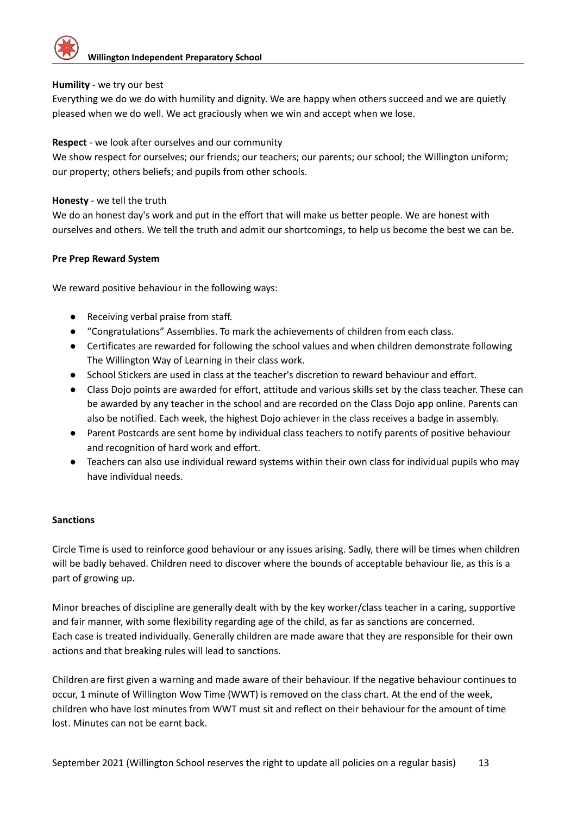

## **Humility** - we try our best

Everything we do we do with humility and dignity. We are happy when others succeed and we are quietly pleased when we do well. We act graciously when we win and accept when we lose.

## **Respect** - we look after ourselves and our community

We show respect for ourselves; our friends; our teachers; our parents; our school; the Willington uniform; our property; others beliefs; and pupils from other schools.

## **Honesty** - we tell the truth

We do an honest day's work and put in the effort that will make us better people. We are honest with ourselves and others. We tell the truth and admit our shortcomings, to help us become the best we can be.

## **Pre Prep Reward System**

We reward positive behaviour in the following ways:

- Receiving verbal praise from staff.
- "Congratulations" Assemblies. To mark the achievements of children from each class.
- Certificates are rewarded for following the school values and when children demonstrate following The Willington Way of Learning in their class work.
- School Stickers are used in class at the teacher's discretion to reward behaviour and effort.
- Class Dojo points are awarded for effort, attitude and various skills set by the class teacher. These can be awarded by any teacher in the school and are recorded on the Class Dojo app online. Parents can also be notified. Each week, the highest Dojo achiever in the class receives a badge in assembly.
- Parent Postcards are sent home by individual class teachers to notify parents of positive behaviour and recognition of hard work and effort.
- Teachers can also use individual reward systems within their own class for individual pupils who may have individual needs.

## **Sanctions**

Circle Time is used to reinforce good behaviour or any issues arising. Sadly, there will be times when children will be badly behaved. Children need to discover where the bounds of acceptable behaviour lie, as this is a part of growing up.

Minor breaches of discipline are generally dealt with by the key worker/class teacher in a caring, supportive and fair manner, with some flexibility regarding age of the child, as far as sanctions are concerned. Each case is treated individually. Generally children are made aware that they are responsible for their own actions and that breaking rules will lead to sanctions.

Children are first given a warning and made aware of their behaviour. If the negative behaviour continues to occur, 1 minute of Willington Wow Time (WWT) is removed on the class chart. At the end of the week, children who have lost minutes from WWT must sit and reflect on their behaviour for the amount of time lost. Minutes can not be earnt back.